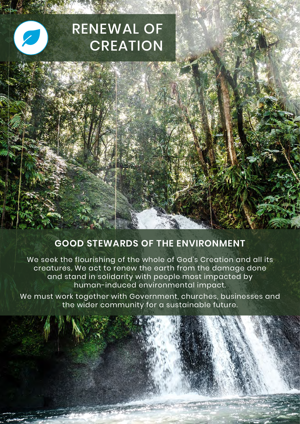# RENEWAL OF **CREATION**

## **GOOD STEWARDS OF THE ENVIRONMENT**

We seek the flourishing of the whole of God's Creation and all its creatures. We act to renew the earth from the damage done and stand in solidarity with people most impacted by human-induced environmental impact.

We must work together with Government, churches, businesses and the wider community for a sustainable future.

**MARINEZIA**